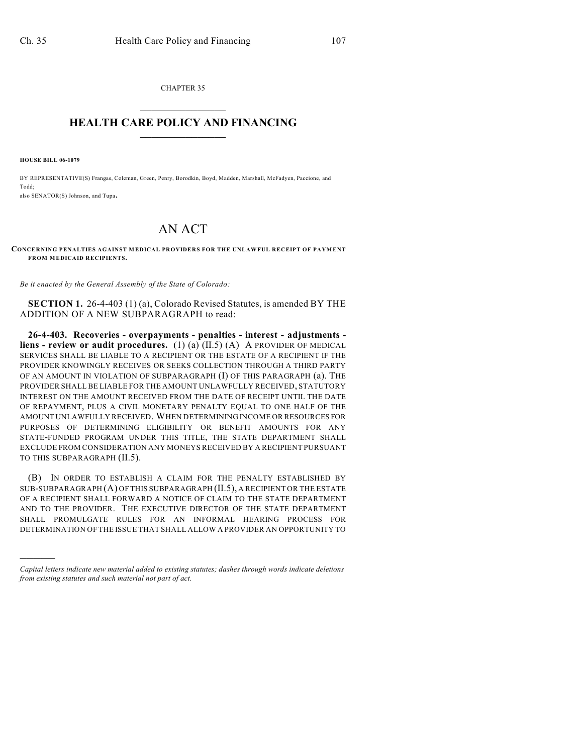CHAPTER 35  $\mathcal{L}_\text{max}$  . The set of the set of the set of the set of the set of the set of the set of the set of the set of the set of the set of the set of the set of the set of the set of the set of the set of the set of the set

## **HEALTH CARE POLICY AND FINANCING**  $\_$   $\_$   $\_$   $\_$   $\_$   $\_$   $\_$   $\_$

**HOUSE BILL 06-1079**

)))))

BY REPRESENTATIVE(S) Frangas, Coleman, Green, Penry, Borodkin, Boyd, Madden, Marshall, McFadyen, Paccione, and Todd; also SENATOR(S) Johnson, and Tupa.

## AN ACT

**CONCERNING PENALTIES AGAINST MEDICAL PROVIDERS FOR THE UNLAWFUL RECEIPT OF PAYMENT FROM MEDICAID RECIPIENTS.**

*Be it enacted by the General Assembly of the State of Colorado:*

**SECTION 1.** 26-4-403 (1) (a), Colorado Revised Statutes, is amended BY THE ADDITION OF A NEW SUBPARAGRAPH to read:

**26-4-403. Recoveries - overpayments - penalties - interest - adjustments liens - review or audit procedures.** (1) (a) (II.5) (A) A PROVIDER OF MEDICAL SERVICES SHALL BE LIABLE TO A RECIPIENT OR THE ESTATE OF A RECIPIENT IF THE PROVIDER KNOWINGLY RECEIVES OR SEEKS COLLECTION THROUGH A THIRD PARTY OF AN AMOUNT IN VIOLATION OF SUBPARAGRAPH (I) OF THIS PARAGRAPH (a). THE PROVIDER SHALL BE LIABLE FOR THE AMOUNT UNLAWFULLY RECEIVED, STATUTORY INTEREST ON THE AMOUNT RECEIVED FROM THE DATE OF RECEIPT UNTIL THE DATE OF REPAYMENT, PLUS A CIVIL MONETARY PENALTY EQUAL TO ONE HALF OF THE AMOUNT UNLAWFULLY RECEIVED. WHEN DETERMINING INCOME OR RESOURCES FOR PURPOSES OF DETERMINING ELIGIBILITY OR BENEFIT AMOUNTS FOR ANY STATE-FUNDED PROGRAM UNDER THIS TITLE, THE STATE DEPARTMENT SHALL EXCLUDE FROM CONSIDERATION ANY MONEYS RECEIVED BY A RECIPIENT PURSUANT TO THIS SUBPARAGRAPH (II.5).

(B) IN ORDER TO ESTABLISH A CLAIM FOR THE PENALTY ESTABLISHED BY SUB-SUBPARAGRAPH (A) OF THIS SUBPARAGRAPH (II.5), A RECIPIENT OR THE ESTATE OF A RECIPIENT SHALL FORWARD A NOTICE OF CLAIM TO THE STATE DEPARTMENT AND TO THE PROVIDER. THE EXECUTIVE DIRECTOR OF THE STATE DEPARTMENT SHALL PROMULGATE RULES FOR AN INFORMAL HEARING PROCESS FOR DETERMINATION OF THE ISSUE THAT SHALL ALLOW A PROVIDER AN OPPORTUNITY TO

*Capital letters indicate new material added to existing statutes; dashes through words indicate deletions from existing statutes and such material not part of act.*